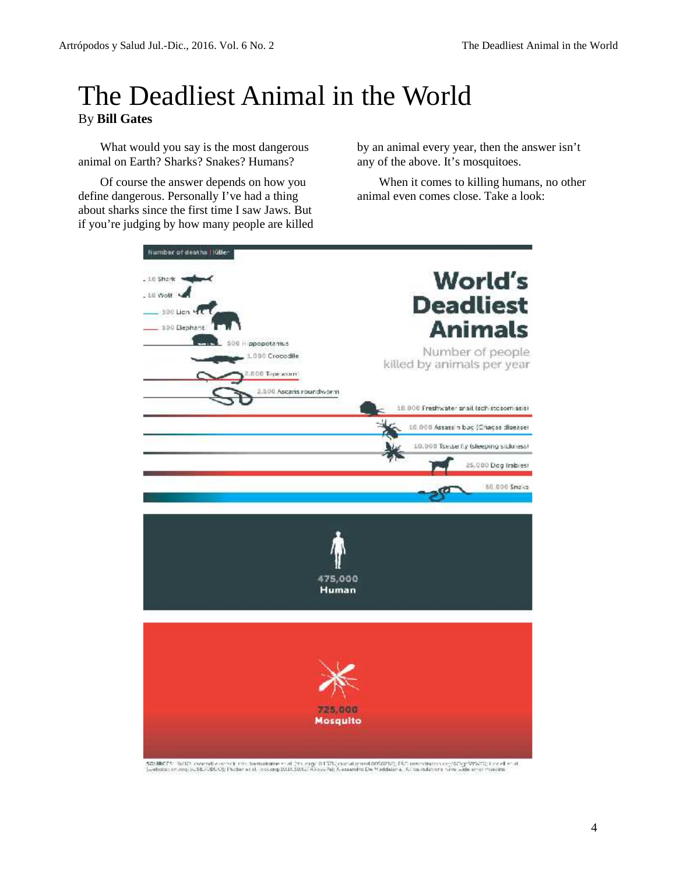## The Deadliest Animal in the World By **Bill Gates**

What would you say is the most dangerous animal on Earth? Sharks? Snakes? Humans?

Of course the answer depends on how you define dangerous. Personally I've had a thing about sharks since the first time I saw Jaws. But if you're judging by how many people are killed

by an animal every year, then the answer isn't any of the above. It's mosquitoes.

When it comes to killing humans, no other animal even comes close. Take a look:



SEUROPS: WHO crocodiversity of the fundations of distinguish TRI, curvatured policy (CC resourchance contribution of the elise at the attendance of the contribution of the elisence of the contribution of the contribution o